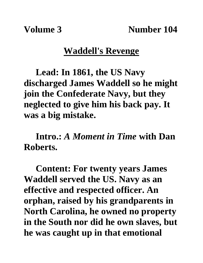**Volume 3** Number 104

## **Waddell's Revenge**

**Lead: In 1861, the US Navy discharged James Waddell so he might join the Confederate Navy, but they neglected to give him his back pay. It was a big mistake.** 

**Intro.:** *A Moment in Time* **with Dan Roberts.**

**Content: For twenty years James Waddell served the US. Navy as an effective and respected officer. An orphan, raised by his grandparents in North Carolina, he owned no property in the South nor did he own slaves, but he was caught up in that emotional**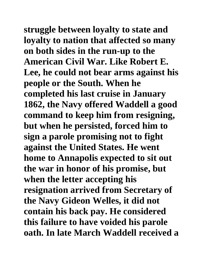**struggle between loyalty to state and loyalty to nation that affected so many on both sides in the run-up to the American Civil War. Like Robert E. Lee, he could not bear arms against his people or the South. When he completed his last cruise in January 1862, the Navy offered Waddell a good command to keep him from resigning, but when he persisted, forced him to sign a parole promising not to fight against the United States. He went home to Annapolis expected to sit out the war in honor of his promise, but when the letter accepting his resignation arrived from Secretary of the Navy Gideon Welles, it did not contain his back pay. He considered this failure to have voided his parole oath. In late March Waddell received a**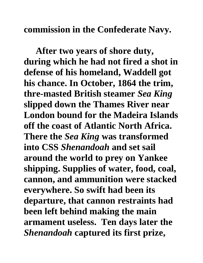**commission in the Confederate Navy.**

**After two years of shore duty, during which he had not fired a shot in defense of his homeland, Waddell got his chance. In October, 1864 the trim, thre-masted British steamer** *Sea King* **slipped down the Thames River near London bound for the Madeira Islands off the coast of Atlantic North Africa. There the** *Sea King* **was transformed into CSS** *Shenandoah* **and set sail around the world to prey on Yankee shipping. Supplies of water, food, coal, cannon, and ammunition were stacked everywhere. So swift had been its departure, that cannon restraints had been left behind making the main armament useless. Ten days later the**  *Shenandoah* **captured its first prize,**